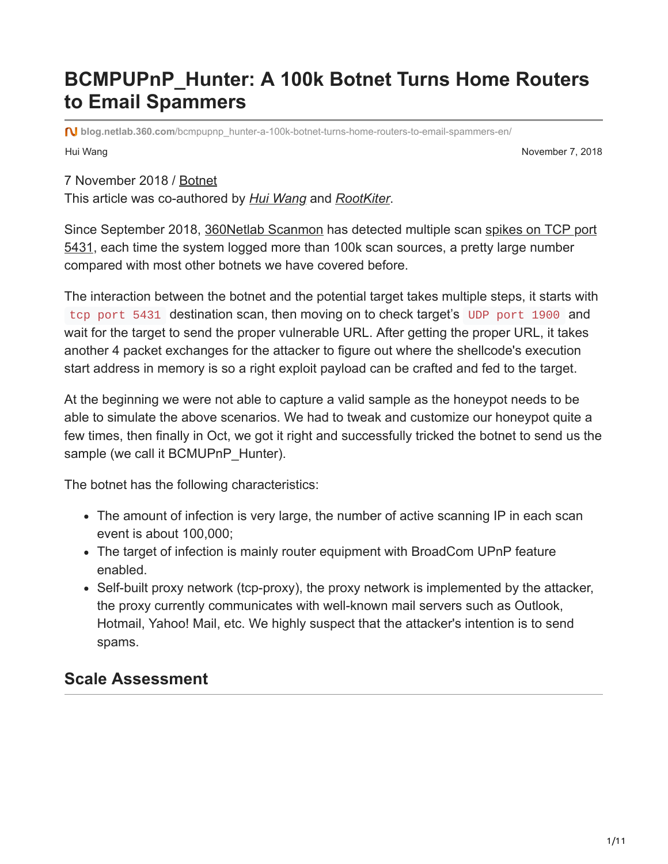# **BCMPUPnP\_Hunter: A 100k Botnet Turns Home Routers to Email Spammers**

Hui Wang November 7, 2018 **blog.netlab.360.com**[/bcmpupnp\\_hunter-a-100k-botnet-turns-home-routers-to-email-spammers-en/](https://blog.netlab.360.com/bcmpupnp_hunter-a-100k-botnet-turns-home-routers-to-email-spammers-en/)

7 November 2018 / [Botnet](https://blog.netlab.360.com/tag/botnet/)

This article was co-authored by *[Hui Wang](https://twitter.com/huiwangeth)* and *[RootKiter](https://twitter.com/RooKiter)*.

[Since September 2018, 3](https://twitter.com/liuya0904/status/1044960012072697856)[60Netlab Scanmo](https://scan.netlab.360.com/#/dashboard?dstport=5431)[n has detected multiple scan spikes on TCP port](https://twitter.com/liuya0904/status/1044960012072697856) 5431, each time the system logged more than 100k scan sources, a pretty large number compared with most other botnets we have covered before.

The interaction between the botnet and the potential target takes multiple steps, it starts with tcp port 5431 destination scan, then moving on to check target's UDP port 1900 and wait for the target to send the proper vulnerable URL. After getting the proper URL, it takes another 4 packet exchanges for the attacker to figure out where the shellcode's execution start address in memory is so a right exploit payload can be crafted and fed to the target.

At the beginning we were not able to capture a valid sample as the honeypot needs to be able to simulate the above scenarios. We had to tweak and customize our honeypot quite a few times, then finally in Oct, we got it right and successfully tricked the botnet to send us the sample (we call it BCMUPnP\_Hunter).

The botnet has the following characteristics:

- The amount of infection is very large, the number of active scanning IP in each scan event is about 100,000;
- The target of infection is mainly router equipment with BroadCom UPnP feature enabled.
- Self-built proxy network (tcp-proxy), the proxy network is implemented by the attacker, the proxy currently communicates with well-known mail servers such as Outlook, Hotmail, Yahoo! Mail, etc. We highly suspect that the attacker's intention is to send spams.

#### **Scale Assessment**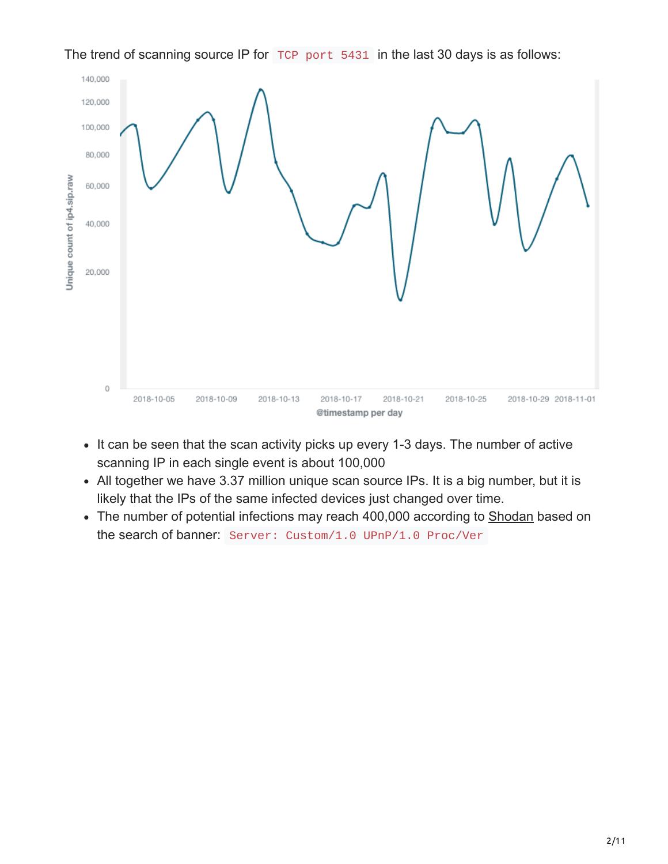

The trend of scanning source IP for TCP port 5431 in the last 30 days is as follows:

- It can be seen that the scan activity picks up every 1-3 days. The number of active scanning IP in each single event is about 100,000
- All together we have 3.37 million unique scan source IPs. It is a big number, but it is likely that the IPs of the same infected devices just changed over time.
- The number of potential infections may reach 400,000 according to [Shodan](https://www.shodan.io/search?query=Server%3A%20Custom%2F1.0%20UPnP%2F1.0%20Proc%2FVer) based on the search of banner: Server: Custom/1.0 UPnP/1.0 Proc/Ver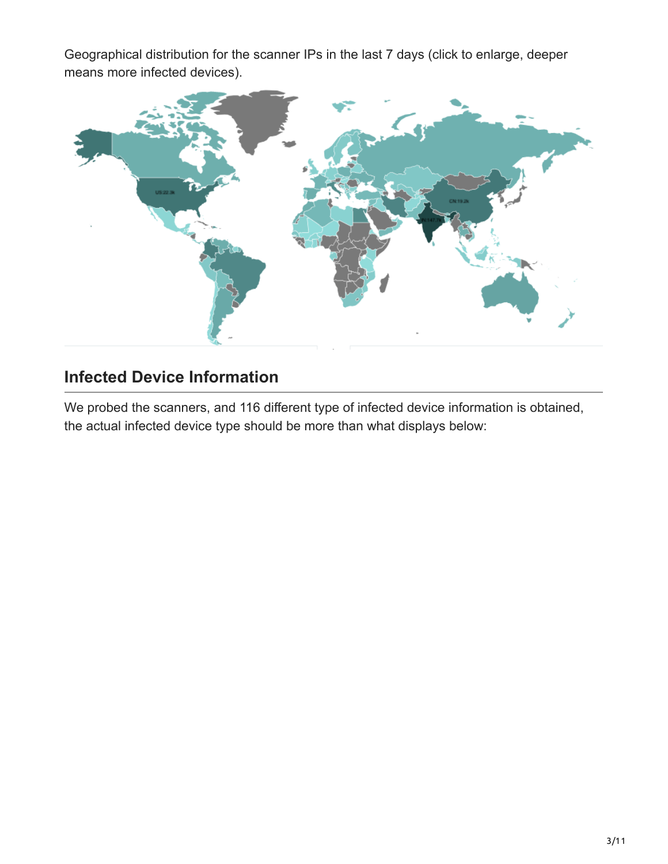Geographical distribution for the scanner IPs in the last 7 days (click to enlarge, deeper means more infected devices).



### **Infected Device Information**

We probed the scanners, and 116 different type of infected device information is obtained, the actual infected device type should be more than what displays below: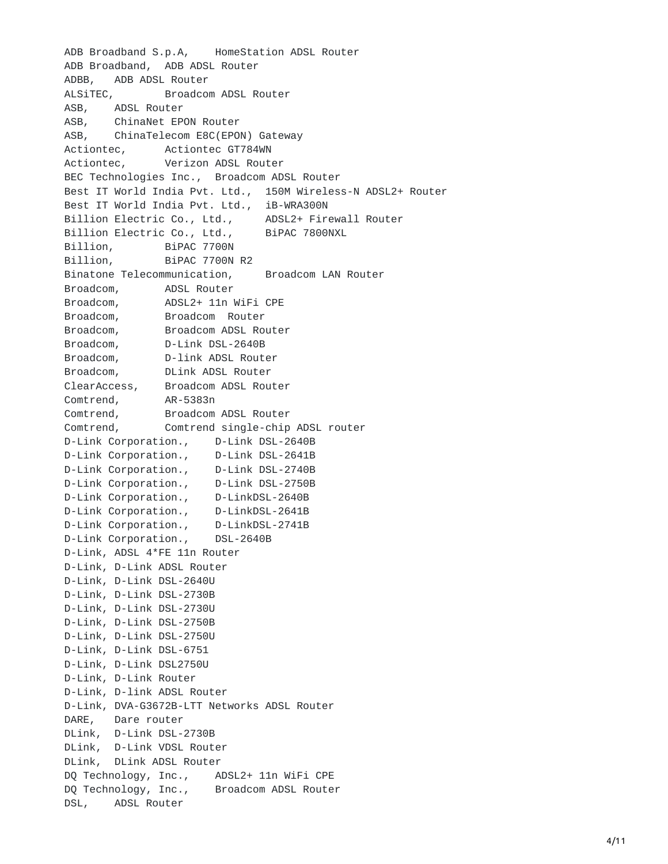ADB Broadband S.p.A, HomeStation ADSL Router ADB Broadband, ADB ADSL Router ADBB, ADB ADSL Router ALSiTEC, Broadcom ADSL Router ASB, ADSL Router ASB, ChinaNet EPON Router A S B , ChinaTelecom E8C(EPON) Gateway Actiontec, Actiontec GT784WN Actiontec, Verizon ADSL Router BEC Technologies Inc., Broadcom ADSL Router Best IT World India Pvt. Ltd., 150M Wireless-N ADSL2+ Router Best IT World India Pvt. Ltd., iB-WRA300N Billion Electric Co., Ltd., ADSL2+ Firewall Router Billion Electric Co., Ltd., BiPAC 7800NXL Billion, BiPAC 7700N Billion, BiPAC 7700N R2 Binatone Telecommunication, Broadcom LAN Router Broadcom, ADSL Router Broadcom, ADSL2+ 11n WiFi CPE Broadcom, Broadcom Router Broadcom, Broadcom ADSL Router Broadcom, D-Link DSL-2640B Broadcom, D-link ADSL Router Broadcom, DLink ADSL Router ClearAccess, Broadcom ADSL Router Comtrend, AR-5383n Comtrend, Broadcom ADSL Router Comtrend, Comtrend single-chip ADSL router D-Link Corporation., D-Link DSL-2640B D-Link Corporation., D-Link DSL-2641B D-Link Corporation., D-Link DSL-2740B D-Link Corporation., D-Link DSL-2750B D-Link Corporation., D-LinkDSL-2640B D-Link Corporation., D-LinkDSL-2641B D-Link Corporation., D-LinkDSL-2741B D-Link Corporation., DSL-2640B D-Link, ADSL 4\*FE 11n Router D-Link, D-Link ADSL Router D-Link, D-Link DSL-2640U D-Link, D-Link DSL-2730B D-Link, D-Link DSL-2730U D-Link, D-Link DSL-2750B D-Link, D-Link DSL-2750U D-Link, D-Link DSL-6751 D-Link, D-Link DSL2750U D-Link, D-Link Router D-Link, D-link ADSL Router D-Link, DVA-G3672B-LTT Networks ADSL Router DARE, Dare router DLink, D-Link DSL-2730B DLink, D-Link VDSL Router DLink, DLink ADSL Router DQ Technology, Inc., ADSL2+ 11n WiFi CPE DQ Technology, Inc., Broadcom ADSL Router DSL, ADSL Router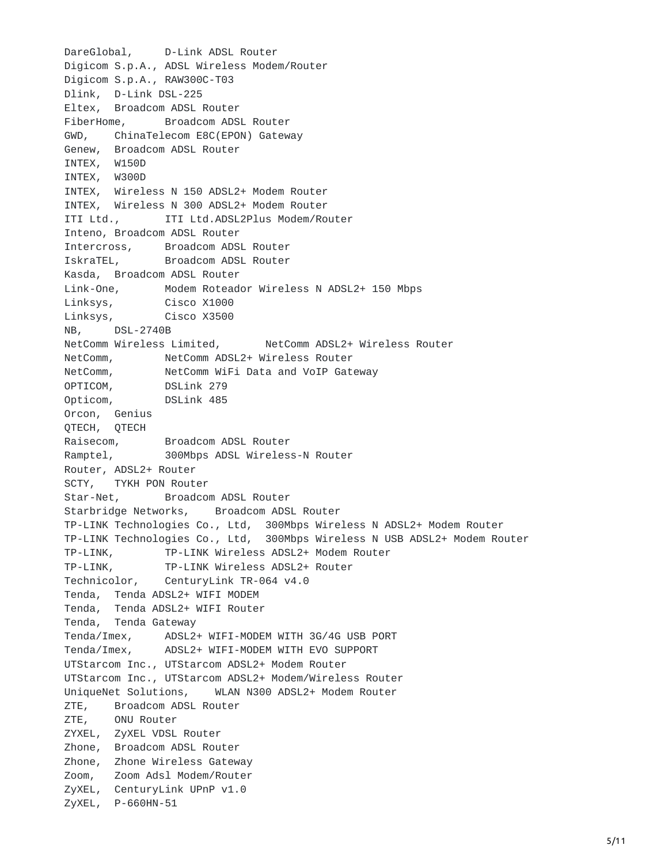```
DareGlobal, D-Link ADSL Router
Digicom S.p.A., ADSL Wireless Modem/Router
Digicom S.p.A., RAW300C-T03
Dlink, D-Link DSL-225
Eltex, Broadcom ADSL Router
FiberHome, Broadcom ADSL Router
GWD, ChinaTelecom E8C(EPON) Gateway
Genew, Broadcom ADSL Router
INTEX, W150D
INTEX, W300D
INTEX, Wireless N 150 ADSL2+ Modem Router
INTEX, Wireless N 300 ADSL2+ Modem Router
ITI Ltd., ITI Ltd.ADSL2Plus Modem/Router
Inteno, Broadcom ADSL Router
Intercross, Broadcom ADSL Router
IskraTEL, Broadcom ADSL Router
Kasda, Broadcom ADSL Router
Link-One, Modem Roteador Wireless N ADSL2+ 150 Mbps
Linksys, Cisco X1000
Linksys, Cisco X3500
NB, DSL-2740B
NetComm Wireless Limited, NetComm ADSL2+ Wireless Router
NetComm, NetComm ADSL2+ Wireless Router
NetComm, NetComm WiFi Data and VoIP Gateway
OPTICOM, DSLink 279
Opticom, DSLink 485
Orcon, Genius
QTECH, QTECH
Raisecom, Broadcom ADSL Router
Ramptel, 300Mbps ADSL Wireless-N Router
Router, ADSL2+ Router
SCTY, TYKH PON Router
Star-Net, Broadcom ADSL Router
Starbridge Networks, Broadcom ADSL Router
TP-LINK Technologies Co., Ltd, 300Mbps Wireless N ADSL2+ Modem Router
TP-LINK Technologies Co., Ltd, 300Mbps Wireless N USB ADSL2+ Modem Router
TP-LINK, TP-LINK Wireless ADSL2+ Modem Router
TP-LINK, TP-LINK Wireless ADSL2+ Router
Technicolor, CenturyLink TR-064 v4.0
Tenda, Tenda ADSL2+ WIFI MODEM
Tenda, Tenda ADSL2+ WIFI Router
Tenda, Tenda Gateway
Tenda/Imex, ADSL2+ WIFI-MODEM WITH 3G/4G USB PORT
Tenda/Imex, ADSL2+ WIFI-MODEM WITH EVO SUPPORT
UTStarcom Inc., UTStarcom ADSL2+ Modem Router
UTStarcom Inc., UTStarcom ADSL2+ Modem/Wireless Router
UniqueNet Solutions, WLAN N300 ADSL2+ Modem Router
ZTE, Broadcom ADSL Router
ZTE, ONU Router
ZYXEL, ZyXEL VDSL Router
Zhone, Broadcom ADSL Router
Zhone, Zhone Wireless Gateway
Zoom, Zoom Adsl Modem/Router
ZyXEL, CenturyLink UPnP v1.0
ZyXEL, P-660HN-51
```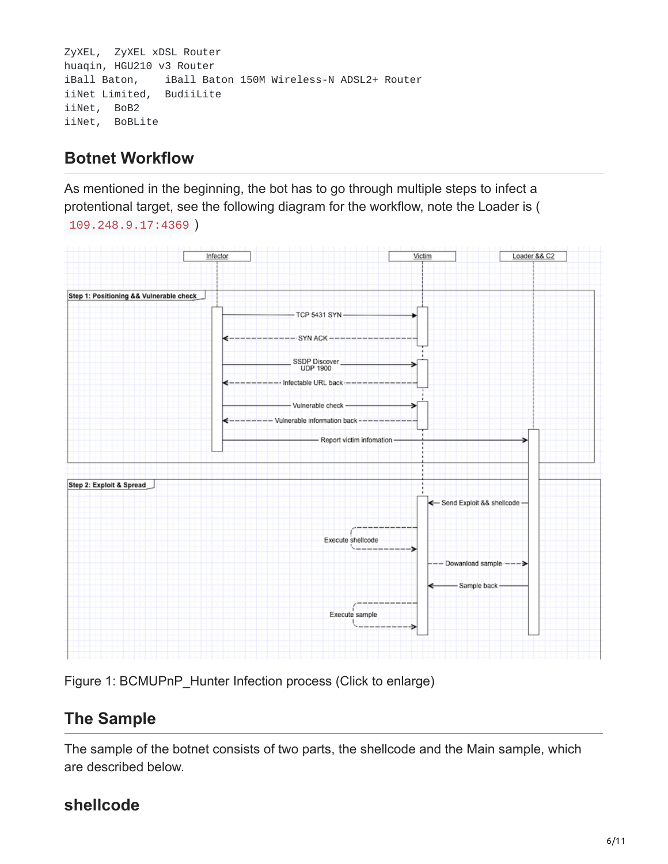```
ZyXEL, ZyXEL xDSL Router
huaqin, HGU210 v3 Router
iBall Baton, iBall Baton 150M Wireless-N ADSL2+ Router
iiNet Limited, BudiiLite
iiNet, BoB2
iiNet, BoBLite
```
## **Botnet Workflow**

As mentioned in the beginning, the bot has to go through multiple steps to infect a protentional target, see the following diagram for the workflow, note the Loader is ( 109.248.9.17:4369 )



Figure 1: BCMUPnP\_Hunter Infection process (Click to enlarge)

# **The Sample**

The sample of the botnet consists of two parts, the shellcode and the Main sample, which are described below.

## **shellcode**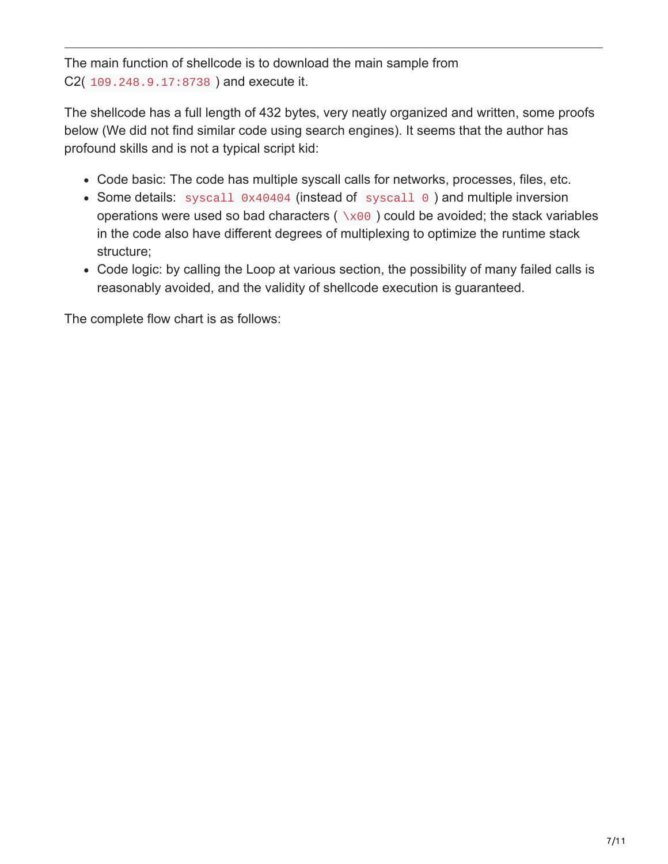The main function of shellcode is to download the main sample from C2( 109.248.9.17:8738 ) and execute it.

The shellcode has a full length of 432 bytes, very neatly organized and written, some proofs below (We did not find similar code using search engines). It seems that the author has profound skills and is not a typical script kid:

- Code basic: The code has multiple syscall calls for networks, processes, files, etc.
- Some details: syscall 0x40404 (instead of syscall 0) and multiple inversion operations were used so bad characters ( $\sqrt{x00}$ ) could be avoided; the stack variables in the code also have different degrees of multiplexing to optimize the runtime stack structure;
- Code logic: by calling the Loop at various section, the possibility of many failed calls is reasonably avoided, and the validity of shellcode execution is guaranteed.

The complete flow chart is as follows: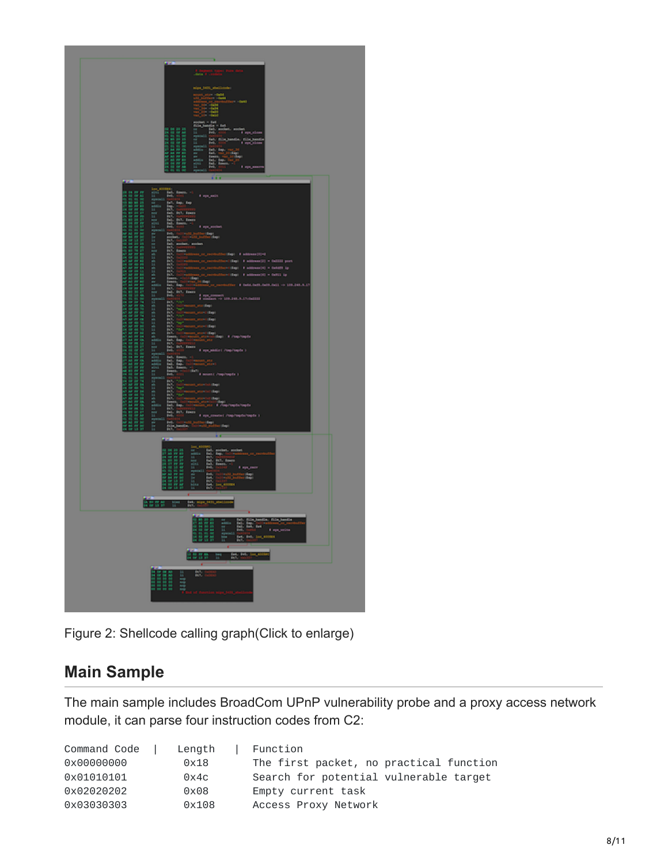

Figure 2: Shellcode calling graph(Click to enlarge)

### **Main Sample**

The main sample includes BroadCom UPnP vulnerability probe and a proxy access network module, it can parse four instruction codes from C2:

| Command Code | Length | Function                                |
|--------------|--------|-----------------------------------------|
| 0x00000000   | 0x18   | The first packet, no practical function |
| 0x01010101   | 0x4c   | Search for potential vulnerable target  |
| 0x02020202   | 0x08   | Empty current task                      |
| 0x03030303   | 0x108  | Access Proxy Network                    |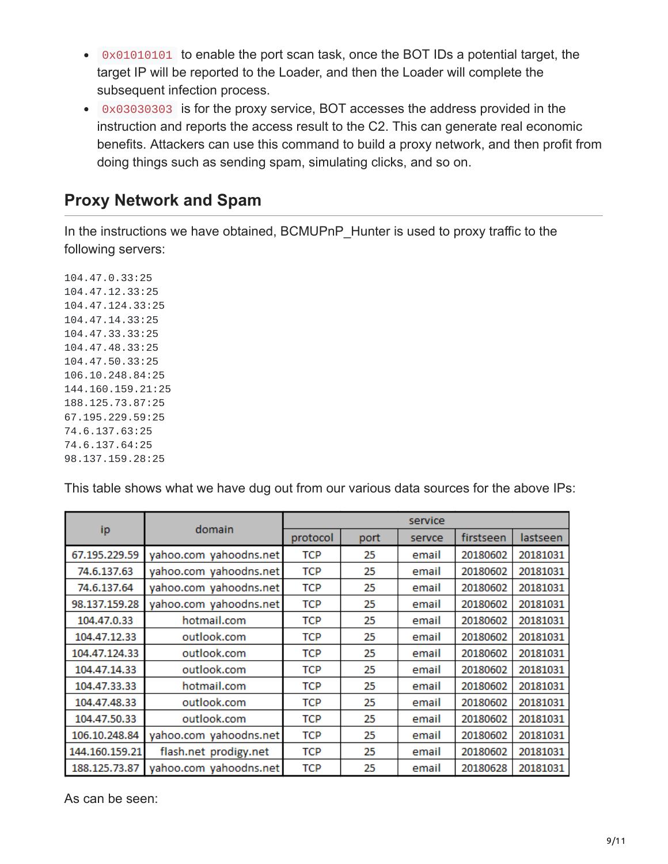- 0x01010101 to enable the port scan task, once the BOT IDs a potential target, the target IP will be reported to the Loader, and then the Loader will complete the subsequent infection process.
- 0x03030303 is for the proxy service, BOT accesses the address provided in the instruction and reports the access result to the C2. This can generate real economic benefits. Attackers can use this command to build a proxy network, and then profit from doing things such as sending spam, simulating clicks, and so on.

#### **Proxy Network and Spam**

In the instructions we have obtained, BCMUPnP\_Hunter is used to proxy traffic to the following servers:

104.47.0.33:25 104.47.12.33:25 104.47.124.33:25 104.47.14.33:25 104.47.33.33:25 104.47.48.33:25 104.47.50.33:25 106.10.248.84:25 144.160.159.21:25 188.125.73.87:25 67.195.229.59:25 74.6.137.63:25 74.6.137.64:25 98.137.159.28:25

This table shows what we have dug out from our various data sources for the above IPs:

|                |                        | service    |      |        |           |          |  |
|----------------|------------------------|------------|------|--------|-----------|----------|--|
| ip             | domain                 | protocol   | port | servce | firstseen | lastseen |  |
| 67.195.229.59  | yahoo.com yahoodns.net | <b>TCP</b> | 25   | email  | 20180602  | 20181031 |  |
| 74.6.137.63    | yahoo.com yahoodns.net | <b>TCP</b> | 25   | email  | 20180602  | 20181031 |  |
| 74.6.137.64    | yahoo.com yahoodns.net | <b>TCP</b> | 25   | email  | 20180602  | 20181031 |  |
| 98.137.159.28  | yahoo.com yahoodns.net | <b>TCP</b> | 25   | email  | 20180602  | 20181031 |  |
| 104.47.0.33    | hotmail.com            | <b>TCP</b> | 25   | email  | 20180602  | 20181031 |  |
| 104.47.12.33   | outlook.com            | <b>TCP</b> | 25   | email  | 20180602  | 20181031 |  |
| 104.47.124.33  | outlook.com            | <b>TCP</b> | 25   | email  | 20180602  | 20181031 |  |
| 104.47.14.33   | outlook.com            | <b>TCP</b> | 25   | email  | 20180602  | 20181031 |  |
| 104.47.33.33   | hotmail.com            | <b>TCP</b> | 25   | email  | 20180602  | 20181031 |  |
| 104.47.48.33   | outlook.com            | <b>TCP</b> | 25   | email  | 20180602  | 20181031 |  |
| 104.47.50.33   | outlook.com            | <b>TCP</b> | 25   | email  | 20180602  | 20181031 |  |
| 106.10.248.84  | yahoo.com yahoodns.net | <b>TCP</b> | 25   | email  | 20180602  | 20181031 |  |
| 144.160.159.21 | flash.net prodigy.net  | <b>TCP</b> | 25   | email  | 20180602  | 20181031 |  |
| 188.125.73.87  | yahoo.com yahoodns.net | <b>TCP</b> | 25   | email  | 20180628  | 20181031 |  |

As can be seen: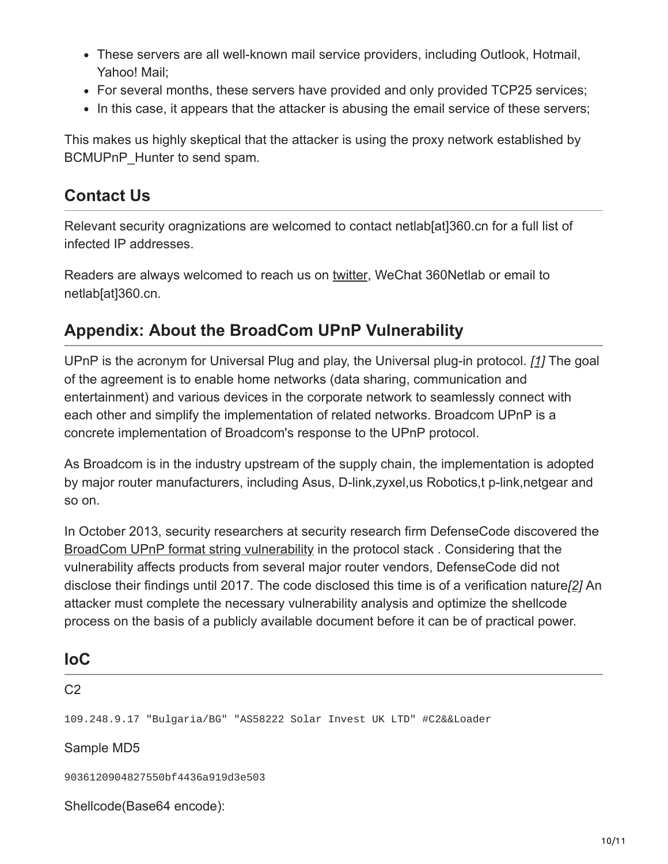- These servers are all well-known mail service providers, including Outlook, Hotmail, Yahoo! Mail;
- For several months, these servers have provided and only provided TCP25 services;
- In this case, it appears that the attacker is abusing the email service of these servers;

This makes us highly skeptical that the attacker is using the proxy network established by BCMUPnP\_Hunter to send spam.

#### **Contact Us**

Relevant security oragnizations are welcomed to contact netlab[at]360.cn for a full list of infected IP addresses.

Readers are always welcomed to reach us on [twitter](https://twitter.com/360Netlab), WeChat 360Netlab or email to netlab[at]360.cn.

#### **Appendix: About the BroadCom UPnP Vulnerability**

UPnP is the acronym for Universal Plug and play, the Universal plug-in protocol. *[\[1\]](https://en.wikipedia.org/wiki/Universal_Plug_and_Play)* The goal of the agreement is to enable home networks (data sharing, communication and entertainment) and various devices in the corporate network to seamlessly connect with each other and simplify the implementation of related networks. Broadcom UPnP is a concrete implementation of Broadcom's response to the UPnP protocol.

As Broadcom is in the industry upstream of the supply chain, the implementation is adopted by major router manufacturers, including Asus, D-link,zyxel,us Robotics,t p-link,netgear and so on.

In October 2013, security researchers at security research firm DefenseCode discovered the [BroadCom UPnP format string vulnerability](http://defensecode.com/whitepapers/From_Zero_To_ZeroDay_Network_Devices_Exploitation.txt) in the protocol stack . Considering that the vulnerability affects products from several major router vendors, DefenseCode did not disclose their findings until 2017. The code disclosed this time is of a verification nature*[\[2\]](https://www.defensecode.com/public/DefenseCode_Broadcom_Security_Advisory.pdf)* An attacker must complete the necessary vulnerability analysis and optimize the shellcode process on the basis of a publicly available document before it can be of practical power.

| <b>IoC</b>                                                           |  |  |  |  |
|----------------------------------------------------------------------|--|--|--|--|
| C <sub>2</sub>                                                       |  |  |  |  |
| 109.248.9.17 "Bulgaria/BG" "AS58222 Solar Invest UK LTD" #C2&&Loader |  |  |  |  |
| Sample MD5                                                           |  |  |  |  |
| 9036120904827550bf4436a919d3e503                                     |  |  |  |  |
| Shellcode(Base64 encode):                                            |  |  |  |  |